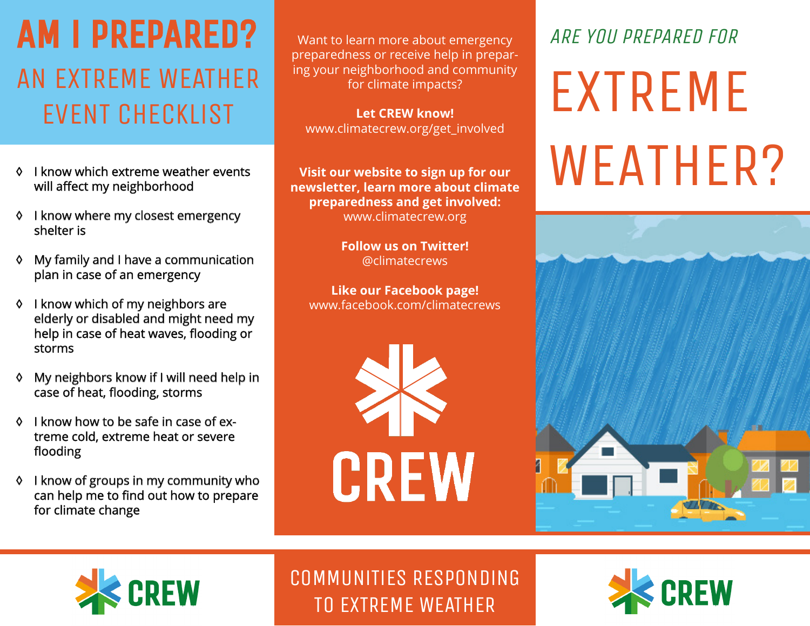# AM i PREPARED? AN EXTREME WEATHER EVENT CHECKLiST

- ◊ I know which extreme weather events will affect my neighborhood
- ◊ I know where my closest emergency shelter is
- ◊ My family and I have a communication communication plan in case of an emergency
- ◊ I know which of my neighbors are elderly or disabled and might need my help in case of heat waves, flooding or storms
- ♦ My neighbors know if I will need help in case of heat, flooding, storms
- ◊ I know how to be safe in case of extreme cold, extreme heat or severe flooding
- ◊ I know of groups in my community community who can help me to find out how to prepare for climate change

Want to learn more about emergency preparedness or receive help in preparing your neighborhood and community for climate impacts?

**Let CREW know!** www.climatecrew.org/get\_involved

**Visit our website to sign up for our newsletter, learn more about climate preparedness and get involved:**  www.climatecrew.org

> **Follow us on Twitter!**  @climatecrews

**Like our Facebook page!** www.facebook.com/climatecrews



# ARE YOU PREPARED FOR

EXTREME WEATHER?





COMMUNiTiES RESPONDiNG TO EXTREME WEATHER